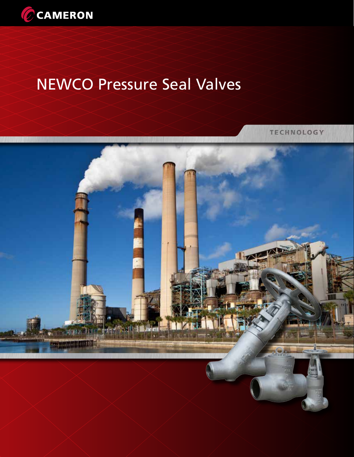

# NEWCO Pressure Seal Valves

**TECHNOLOGY** 

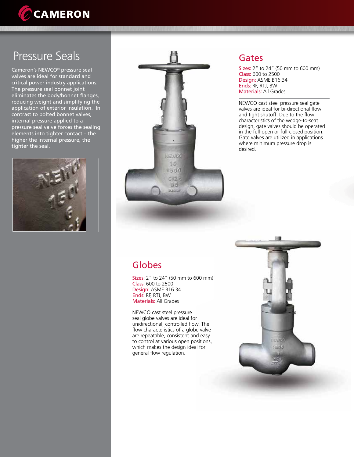

## Pressure Seals

Cameron's NEWCO® pressure seal valves are ideal for standard and critical power industry applications. The pressure seal bonnet joint eliminates the body/bonnet flanges, reducing weight and simplifying the application of exterior insulation. In contrast to bolted bonnet valves, internal pressure applied to a pressure seal valve forces the sealing elements into tighter contact – the higher the internal pressure, the tighter the seal.





#### Gates

Sizes: 2" to 24" (50 mm to 600 mm) Class: 600 to 2500 Design: ASME B16.34 Ends: RF, RTJ, BW Materials: All Grades

NEWCO cast steel pressure seal gate valves are ideal for bi-directional flow and tight shutoff. Due to the flow characteristics of the wedge-to-seat design, gate valves should be operated in the full-open or full-closed position. Gate valves are utilized in applications where minimum pressure drop is desired.

## Globes

Sizes: 2" to 24" (50 mm to 600 mm) Class: 600 to 2500 Design: ASME B16.34 Ends: RF, RTJ, BW Materials: All Grades

NEWCO cast steel pressure seal globe valves are ideal for unidirectional, controlled flow. The flow characteristics of a globe valve are repeatable, consistent and easy to control at various open positions, which makes the design ideal for general flow regulation.

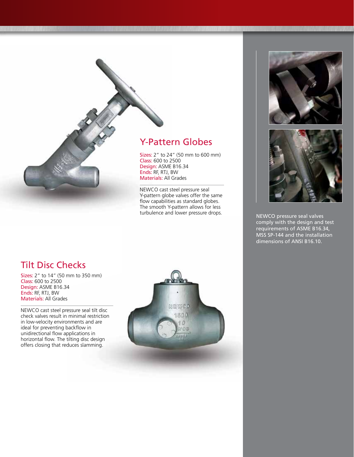### Y-Pattern Globes

Sizes: 2" to 24" (50 mm to 600 mm) Class: 600 to 2500 Design: ASME B16.34 Ends: RF, RTJ, BW Materials: All Grades

NEWCO cast steel pressure seal Y-pattern globe valves offer the same flow capabilities as standard globes. The smooth Y-pattern allows for less turbulence and lower pressure drops.



NEWCO pressure seal valves comply with the design and test requirements of ASME B16.34, MSS SP-144 and the installation dimensions of ANSI B16.10.

#### Tilt Disc Checks

Sizes: 2" to 14" (50 mm to 350 mm) Class: 600 to 2500 Design: ASME B16.34 Ends: RF, RTJ, BW Materials: All Grades

NEWCO cast steel pressure seal tilt disc check valves result in minimal restriction in low-velocity environments and are ideal for preventing backflow in unidirectional flow applications in horizontal flow. The tilting disc design offers closing that reduces slamming.